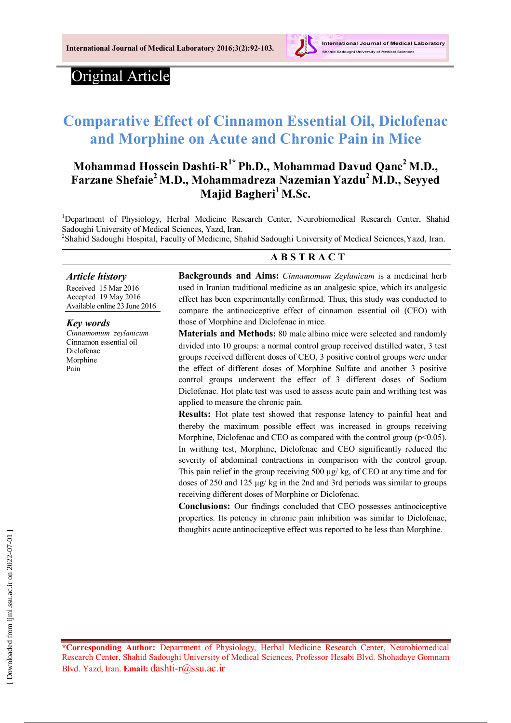

# Original Article

# **Comparative Effect of Cinnamon Essential Oil, Diclofenac and Morphine on Acute and Chronic Pain in Mice**

# **Mohammad Hossein Dashti-R 1\* Ph.D., Mohammad Davud Qane<sup>2</sup> M.D., Farzane Shefaie<sup>2</sup> M.D., Mohammadreza Nazemian Yazdu<sup>2</sup> M.D., Seyyed Majid Bagheri<sup>1</sup> M.Sc.**

<sup>1</sup>Department of Physiology, Herbal Medicine Research Center, Neurobiomedical Research Center, Shahid Sadoughi University of Medical Sciences, Yazd, Iran.

<sup>2</sup>Shahid Sadoughi Hospital, Faculty of Medicine, Shahid Sadoughi University of Medical Sciences, Yazd, Iran.

### **A B S T R A C T**

#### *Article history*

Received 15 Mar 2016 Accepted 19 May 2016 Available online 23 June 2016

*Key words Cinnamomum zeylanicum* Cinnamon essential oil Diclofenac Morphine Pain

**Backgrounds and Aims:** *Cinnamomum Zeylanicum* is a medicinal herb used in Iranian traditional medicine as an analgesic spice, which its analgesic effect has been experimentally confirmed. Thus, this study was conducted to compare the antinociceptive effect of cinnamon essential oil (CEO) with those of Morphine and Diclofenac in mice.

**Materials and Methods:** 80 male albino mice were selected and randomly divided into 10 groups: a normal control group received distilled water, 3 test groups received different doses of CEO, 3 positive control groups were under the effect of different doses of Morphine Sulfate and another 3 positive control groups underwent the effect of 3 different doses of Sodium Diclofenac. Hot plate test was used to assess acute pain and writhing test was applied to measure the chronic pain.

**Results:** Hot plate test showed that response latency to painful heat and thereby the maximum possible effect was increased in groups receiving Morphine, Diclofenac and CEO as compared with the control group  $(p<0.05)$ . In writhing test, Morphine, Diclofenac and CEO significantly reduced the severity of abdominal contractions in comparison with the control group. This pain relief in the group receiving 500 µg/ kg, of CEO at any time and for doses of 250 and 125 µg/ kg in the 2nd and 3rd periods was similar to groups receiving different doses of Morphine or Diclofenac.

**Conclusions:** Our findings concluded that CEO possesses antinociceptive properties. Its potency in chronic pain inhibition was similar to Diclofenac, thoughits acute antinociceptive effect was reported to be less than Morphine.

**\*Corresponding Author:** Department of Physiology, Herbal Medicine Research Center, Neurobiomedical Research Center, Shahid Sadoughi University of Medical Sciences, Professor Hesabi Blvd. Shohadaye Gomnam Blvd. Yazd, Iran. **Email:** dashti-r@ssu.ac.ir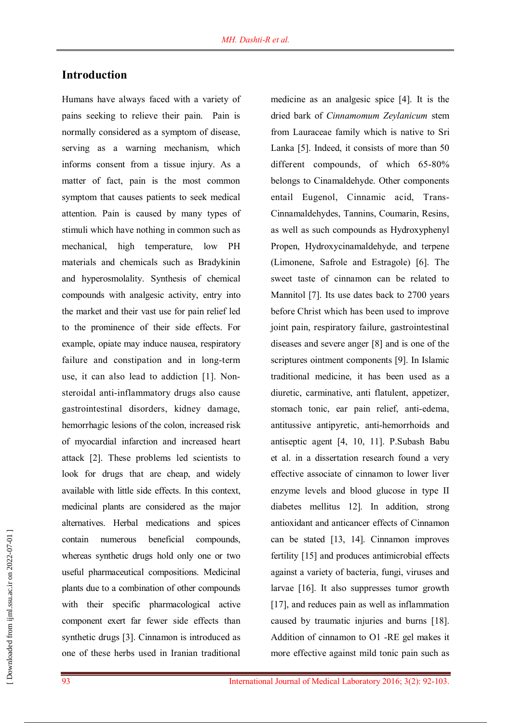## **Introduction**

Humans have always faced with a variety of pains seeking to relieve their pain. Pain is normally considered as a symptom of disease, serving as a warning mechanism, which informs consent from a tissue injury. As a matter of fact, pain is the most common symptom that causes patients to seek medical attention. Pain is caused by many types of stimuli which have nothing in common such as mechanical, high temperature, low PH materials and chemicals such as Bradykinin and hyperosmolality. Synthesis of chemical compounds with analgesic activity, entry into the market and their vast use for pain relief led to the prominence of their side effects. For example, opiate may induce nausea, respiratory failure and constipation and in long-term use, it can also lead to addiction [1]. Nonsteroidal anti-inflammatory drugs also cause gastrointestinal disorders, kidney damage, hemorrhagic lesions of the colon, increased risk of myocardial infarction and increased heart attack [2]. These problems led scientists to look for drugs that are cheap, and widely available with little side effects. In this context, medicinal plants are considered as the major alternatives. Herbal medications and spices contain numerous beneficial compounds, whereas synthetic drugs hold only one or two useful pharmaceutical compositions. Medicinal plants due to a combination of other compounds with their specific pharmacological active component exert far fewer side effects than synthetic drugs [3]. Cinnamon is introduced as one of these herbs used in Iranian traditional

medicine as an analgesic spice [4]. It is the dried bark of *Cinnamomum Zeylanicum* stem from Lauraceae family which is native to Sri Lanka [5]. Indeed, it consists of more than 50 different compounds, of which 65-80% belongs to Cinamaldehyde. Other components entail Eugenol, Cinnamic acid, Trans-Cinnamaldehydes, Tannins, Coumarin, Resins, as well as such compounds as Hydroxyphenyl Propen, Hydroxycinamaldehyde, and terpene (Limonene, Safrole and Estragole) [6]. The sweet taste of cinnamon can be related to Mannitol [7]. Its use dates back to 2700 years before Christ which has been used to improve joint pain, respiratory failure, gastrointestinal diseases and severe anger [8] and is one of the scriptures ointment components [9]. In Islamic traditional medicine, it has been used as a diuretic, carminative, anti flatulent, appetizer, stomach tonic, ear pain relief, anti-edema, antitussive antipyretic, anti-hemorrhoids and antiseptic agent [4, 10, 11]. P.Subash Babu et al. in a dissertation research found a very effective associate of cinnamon to lower liver enzyme levels and blood glucose in type II diabetes mellitus 12]. In addition, strong antioxidant and anticancer effects of Cinnamon can be stated [13, 14]. Cinnamon improves fertility [15] and produces antimicrobial effects against a variety of bacteria, fungi, viruses and larvae [16]. It also suppresses tumor growth [17], and reduces pain as well as inflammation caused by traumatic injuries and burns [18]. Addition of cinnamon to O1 -RE gel makes it more effective against mild tonic pain such as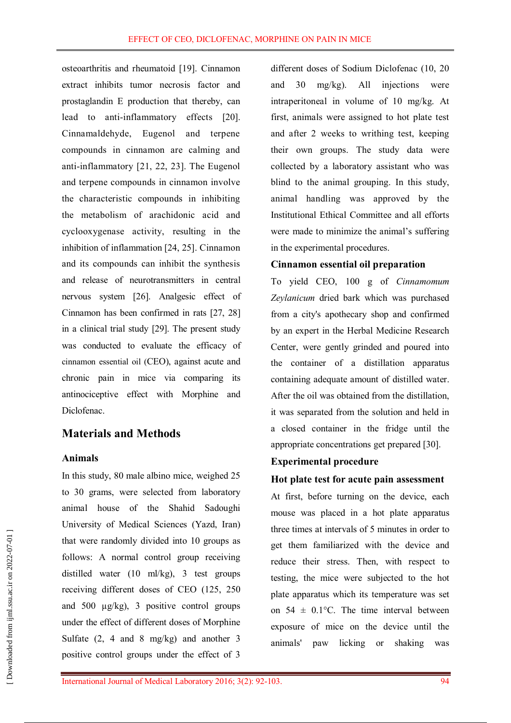osteoarthritis and rheumatoid [19]. Cinnamon extract inhibits tumor necrosis factor and prostaglandin E production that thereby, can lead to anti-inflammatory effects [20]. Cinnamaldehyde, Eugenol and terpene compounds in cinnamon are calming and anti-inflammatory [21, 22, 23]. The Eugenol and terpene compounds in cinnamon involve the characteristic compounds in inhibiting the metabolism of arachidonic acid and cyclooxygenase activity, resulting in the inhibition of inflammation [24, 25]. Cinnamon and its compounds can inhibit the synthesis and release of neurotransmitters in central nervous system [26]. Analgesic effect of Cinnamon has been confirmed in rats [27, 28] in a clinical trial study [29]. The present study was conducted to evaluate the efficacy of cinnamon essential oil (CEO), against acute and chronic pain in mice via comparing its antinociceptive effect with Morphine and Diclofenac.

# **Materials and Methods**

#### **Animals**

In this study, 80 male albino mice, weighed 25 to 30 grams, were selected from laboratory animal house of the Shahid Sadoughi University of Medical Sciences (Yazd, Iran) that were randomly divided into 10 groups as follows: A normal control group receiving distilled water (10 ml/kg), 3 test groups receiving different doses of CEO (125, 250 and 500  $\mu$ g/kg), 3 positive control groups under the effect of different doses of Morphine Sulfate (2, 4 and 8 mg/kg) and another 3 positive control groups under the effect of 3

different doses of Sodium Diclofenac (10, 20 and 30 mg/kg). All injections were intraperitoneal in volume of 10 mg/kg. At first, animals were assigned to hot plate test and after 2 weeks to writhing test, keeping their own groups. The study data were collected by a laboratory assistant who was blind to the animal grouping. In this study, animal handling was approved by the Institutional Ethical Committee and all efforts were made to minimize the animal's suffering in the experimental procedures.

#### **Cinnamon essential oil preparation**

To yield CEO, 100 g of *Cinnamomum Zeylanicum* dried bark which was purchased from a city's apothecary shop and confirmed by an expert in the Herbal Medicine Research Center, were gently grinded and poured into the container of a distillation apparatus containing adequate amount of distilled water. After the oil was obtained from the distillation, it was separated from the solution and held in a closed container in the fridge until the appropriate concentrations get prepared [30].

### **Experimental procedure**

#### **Hot plate test for acute pain assessment**

At first, before turning on the device, each mouse was placed in a hot plate apparatus three times at intervals of 5 minutes in order to get them familiarized with the device and reduce their stress. Then, with respect to testing, the mice were subjected to the hot plate apparatus which its temperature was set on  $54 \pm 0.1$ °C. The time interval between exposure of mice on the device until the animals' paw licking or shaking was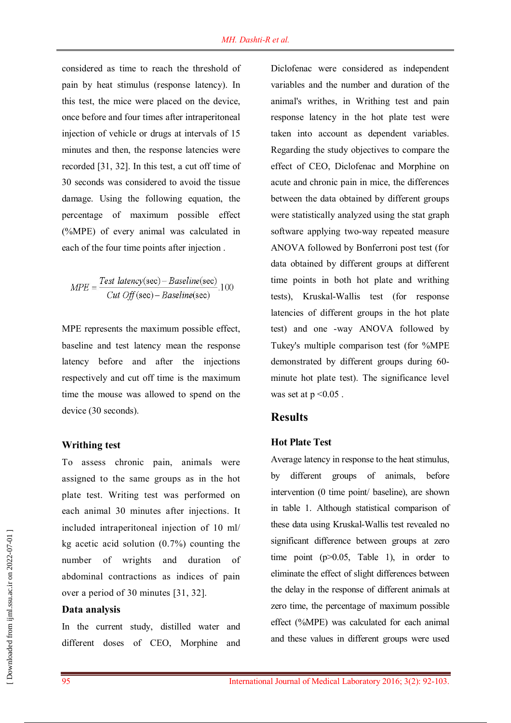considered as time to reach the threshold of pain by heat stimulus (response latency). In this test, the mice were placed on the device, once before and four times after intraperitoneal injection of vehicle or drugs at intervals of 15 minutes and then, the response latencies were recorded [31, 32]. In this test, a cut off time of 30 seconds was considered to avoid the tissue damage. Using the following equation, the percentage of maximum possible effect (%MPE) of every animal was calculated in each of the four time points after injection .

$$
MPE = \frac{Test\ latency(\text{sec}) - Baseline(\text{sec})}{Cut\ Off(\text{sec}) - Baseline(\text{sec})} \cdot 100
$$

MPE represents the maximum possible effect, baseline and test latency mean the response latency before and after the injections respectively and cut off time is the maximum time the mouse was allowed to spend on the device (30 seconds).

#### **Writhing test**

To assess chronic pain, animals were assigned to the same groups as in the hot plate test. Writing test was performed on each animal 30 minutes after injections. It included intraperitoneal injection of 10 ml/ kg acetic acid solution (0.7%) counting the number of wrights and duration of abdominal contractions as indices of pain over a period of 30 minutes [31, 32].

#### **Data analysis**

In the current study, distilled water and different doses of CEO, Morphine and Diclofenac were considered as independent variables and the number and duration of the animal's writhes, in Writhing test and pain response latency in the hot plate test were taken into account as dependent variables. Regarding the study objectives to compare the effect of CEO, Diclofenac and Morphine on acute and chronic pain in mice, the differences between the data obtained by different groups were statistically analyzed using the stat graph software applying two-way repeated measure ANOVA followed by Bonferroni post test (for data obtained by different groups at different time points in both hot plate and writhing tests), Kruskal-Wallis test (for response latencies of different groups in the hot plate test) and one -way ANOVA followed by Tukey's multiple comparison test (for %MPE demonstrated by different groups during 60 minute hot plate test). The significance level was set at  $p < 0.05$ .

## **Results**

#### **Hot Plate Test**

Average latency in response to the heat stimulus, by different groups of animals, before intervention (0 time point/ baseline), are shown in table 1. Although statistical comparison of these data using Kruskal-Wallis test revealed no significant difference between groups at zero time point  $(p>0.05,$  Table 1), in order to eliminate the effect of slight differences between the delay in the response of different animals at zero time, the percentage of maximum possible effect (%MPE) was calculated for each animal and these values in different groups were used

[ Downloaded from ijml.ssu.ac.ir on 2022-07-01 ] Downloaded from ijml.ssu.ac.ir on 2022-07-01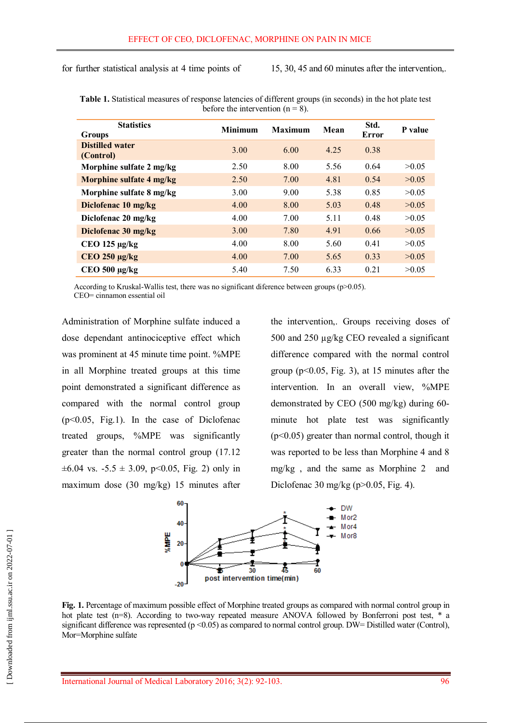for further statistical analysis at 4 time points of 15, 30, 45 and 60 minutes after the intervention,.

| <b>Statistics</b>                   | <b>Minimum</b> | <b>Maximum</b> | Mean | Std.  | P value |
|-------------------------------------|----------------|----------------|------|-------|---------|
| <b>Groups</b>                       |                |                |      | Error |         |
| <b>Distilled water</b><br>(Control) | 3.00           | 6.00           | 4.25 | 0.38  |         |
| Morphine sulfate 2 mg/kg            | 2.50           | 8.00           | 5.56 | 0.64  | >0.05   |
| Morphine sulfate 4 mg/kg            | 2.50           | 7.00           | 4.81 | 0.54  | >0.05   |
| Morphine sulfate 8 mg/kg            | 3.00           | 9.00           | 5.38 | 0.85  | >0.05   |
| Diclofenac 10 mg/kg                 | 4.00           | 8.00           | 5.03 | 0.48  | >0.05   |
| Diclofenac 20 mg/kg                 | 4.00           | 7.00           | 5.11 | 0.48  | >0.05   |
| Diclofenac 30 mg/kg                 | 3.00           | 7.80           | 4.91 | 0.66  | >0.05   |
| CEO 125 µg/kg                       | 4.00           | 8.00           | 5.60 | 0.41  | >0.05   |
| $CEO$ 250 $\mu$ g/kg                | 4.00           | 7.00           | 5.65 | 0.33  | >0.05   |
| CEO 500 µg/kg                       | 5.40           | 7.50           | 6.33 | 0.21  | >0.05   |

**Table 1.** Statistical measures of response latencies of different groups (in seconds) in the hot plate test before the intervention  $(n = 8)$ .

According to Kruskal-Wallis test, there was no significant diference between groups ( $p$  $>$ 0.05). CEO= cinnamon essential oil

Administration of Morphine sulfate induced a dose dependant antinociceptive effect which was prominent at 45 minute time point. %MPE in all Morphine treated groups at this time point demonstrated a significant difference as compared with the normal control group (p<0.05, Fig.1). In the case of Diclofenac treated groups, %MPE was significantly greater than the normal control group (17.12  $\pm 6.04$  vs.  $-5.5 \pm 3.09$ , p<0.05, Fig. 2) only in maximum dose (30 mg/kg) 15 minutes after the intervention,. Groups receiving doses of 500 and 250 µg/kg CEO revealed a significant difference compared with the normal control group ( $p<0.05$ , Fig. 3), at 15 minutes after the intervention. In an overall view, %MPE demonstrated by CEO (500 mg/kg) during 60 minute hot plate test was significantly (p<0.05) greater than normal control, though it was reported to be less than Morphine 4 and 8 mg/kg , and the same as Morphine 2 and Diclofenac 30 mg/kg ( $p > 0.05$ , Fig. 4).



**Fig. 1.** Percentage of maximum possible effect of Morphine treated groups as compared with normal control group in hot plate test (n=8). According to two-way repeated measure ANOVA followed by Bonferroni post test, \* a significant difference was represented ( $p \le 0.05$ ) as compared to normal control group. DW= Distilled water (Control), Mor=Morphine sulfate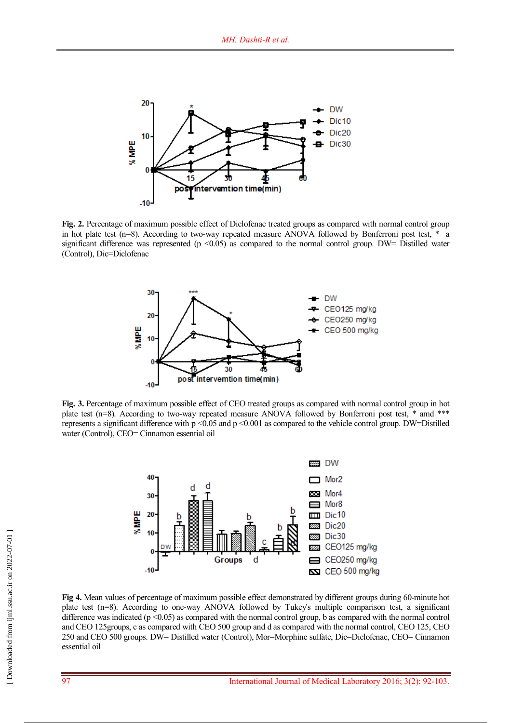

**Fig. 2.** Percentage of maximum possible effect of Diclofenac treated groups as compared with normal control group in hot plate test (n=8). According to two-way repeated measure ANOVA followed by Bonferroni post test, \* a significant difference was represented ( $p$  <0.05) as compared to the normal control group. DW= Distilled water (Control), Dic=Diclofenac



**Fig. 3.** Percentage of maximum possible effect of CEO treated groups as compared with normal control group in hot plate test (n=8). According to two-way repeated measure ANOVA followed by Bonferroni post test, \* amd \*\*\* represents a significant difference with p <0.05 and p <0.001 as compared to the vehicle control group. DW=Distilled water (Control), CEO= Cinnamon essential oil



**Fig 4.** Mean values of percentage of maximum possible effect demonstrated by different groups during 60-minute hot plate test (n=8). According to one-way ANOVA followed by Tukey's multiple comparison test, a significant difference was indicated ( $p \le 0.05$ ) as compared with the normal control group, b as compared with the normal control and CEO 125groups, c as compared with CEO 500 group and d as compared with the normal control, CEO 125, CEO 250 and CEO 500 groups. DW= Distilled water (Control), Mor=Morphine sulfate, Dic=Diclofenac, CEO= Cinnamon essential oil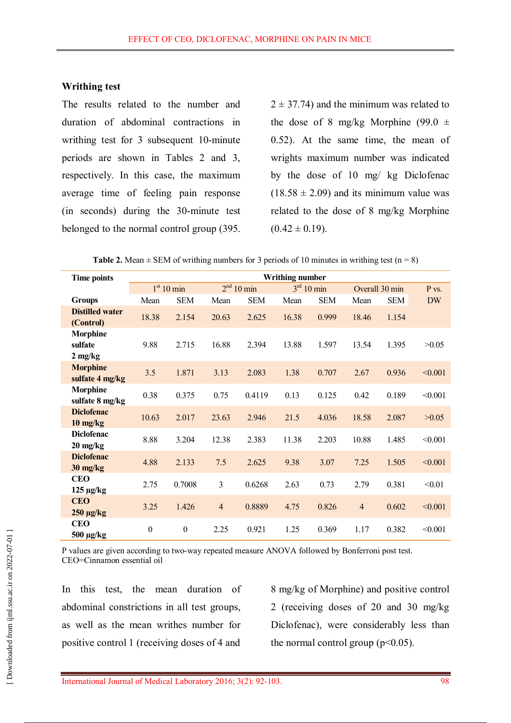#### **Writhing test**

The results related to the number and duration of abdominal contractions in writhing test for 3 subsequent 10-minute periods are shown in Tables 2 and 3, respectively. In this case, the maximum average time of feeling pain response (in seconds) during the 30-minute test belonged to the normal control group (395.

 $2 \pm 37.74$ ) and the minimum was related to the dose of 8 mg/kg Morphine (99.0  $\pm$ 0.52). At the same time, the mean of wrights maximum number was indicated by the dose of 10 mg/ kg Diclofenac  $(18.58 \pm 2.09)$  and its minimum value was related to the dose of 8 mg/kg Morphine  $(0.42 \pm 0.19).$ 

**Table 2.** Mean  $\pm$  SEM of writhing numbers for 3 periods of 10 minutes in writhing test (n = 8)

| <b>Time points</b>                      | Writhing number  |                        |                        |            |                        |            |                |            |           |
|-----------------------------------------|------------------|------------------------|------------------------|------------|------------------------|------------|----------------|------------|-----------|
|                                         |                  | 1 <sup>st</sup> 10 min | 2 <sup>nd</sup> 10 min |            | 3 <sup>rd</sup> 10 min |            | Overall 30 min |            | P vs.     |
| <b>Groups</b>                           | Mean             | <b>SEM</b>             | Mean                   | <b>SEM</b> | Mean                   | <b>SEM</b> | Mean           | <b>SEM</b> | <b>DW</b> |
| <b>Distilled water</b><br>(Control)     | 18.38            | 2.154                  | 20.63                  | 2.625      | 16.38                  | 0.999      | 18.46          | 1.154      |           |
| <b>Morphine</b><br>sulfate<br>$2$ mg/kg | 9.88             | 2.715                  | 16.88                  | 2.394      | 13.88                  | 1.597      | 13.54          | 1.395      | >0.05     |
| <b>Morphine</b><br>sulfate 4 mg/kg      | 3.5              | 1.871                  | 3.13                   | 2.083      | 1.38                   | 0.707      | 2.67           | 0.936      | < 0.001   |
| <b>Morphine</b><br>sulfate 8 mg/kg      | 0.38             | 0.375                  | 0.75                   | 0.4119     | 0.13                   | 0.125      | 0.42           | 0.189      | < 0.001   |
| <b>Diclofenac</b><br>$10 \text{ mg/kg}$ | 10.63            | 2.017                  | 23.63                  | 2.946      | 21.5                   | 4.036      | 18.58          | 2.087      | >0.05     |
| <b>Diclofenac</b><br>$20 \text{ mg/kg}$ | 8.88             | 3.204                  | 12.38                  | 2.383      | 11.38                  | 2.203      | 10.88          | 1.485      | < 0.001   |
| <b>Diclofenac</b><br>$30 \text{ mg/kg}$ | 4.88             | 2.133                  | 7.5                    | 2.625      | 9.38                   | 3.07       | 7.25           | 1.505      | < 0.001   |
| <b>CEO</b><br>$125 \mu g/kg$            | 2.75             | 0.7008                 | $\mathfrak{Z}$         | 0.6268     | 2.63                   | 0.73       | 2.79           | 0.381      | < 0.01    |
| <b>CEO</b><br>$250 \mu g/kg$            | 3.25             | 1.426                  | $\overline{4}$         | 0.8889     | 4.75                   | 0.826      | $\overline{4}$ | 0.602      | < 0.001   |
| <b>CEO</b><br>500 µg/kg                 | $\boldsymbol{0}$ | $\boldsymbol{0}$       | 2.25                   | 0.921      | 1.25                   | 0.369      | 1.17           | 0.382      | < 0.001   |

P values are given according to two-way repeated measure ANOVA followed by Bonferroni post test. CEO=Cinnamon essential oil

In this test, the mean duration of abdominal constrictions in all test groups, as well as the mean writhes number for positive control 1 (receiving doses of 4 and

8 mg/kg of Morphine) and positive control 2 (receiving doses of 20 and 30 mg/kg Diclofenac), were considerably less than the normal control group  $(p<0.05)$ .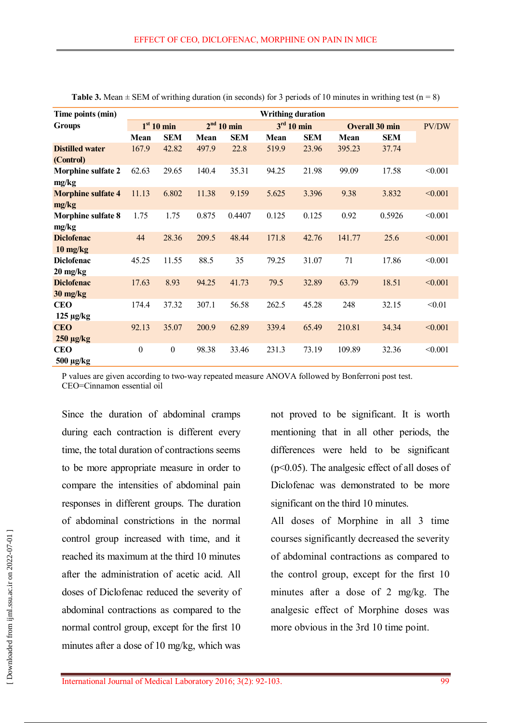| Time points (min)                       | <b>Writhing duration</b> |                  |       |                        |       |                        |        |                       |         |
|-----------------------------------------|--------------------------|------------------|-------|------------------------|-------|------------------------|--------|-----------------------|---------|
| <b>Groups</b>                           | 1 <sup>st</sup> 10 min   |                  |       | 2 <sup>nd</sup> 10 min |       | 3 <sup>rd</sup> 10 min |        | <b>Overall 30 min</b> |         |
|                                         | Mean                     | <b>SEM</b>       | Mean  | <b>SEM</b>             | Mean  | <b>SEM</b>             | Mean   | <b>SEM</b>            |         |
| <b>Distilled water</b><br>(Control)     | 167.9                    | 42.82            | 497.9 | 22.8                   | 519.9 | 23.96                  | 395.23 | 37.74                 |         |
| <b>Morphine sulfate 2</b><br>mg/kg      | 62.63                    | 29.65            | 140.4 | 35.31                  | 94.25 | 21.98                  | 99.09  | 17.58                 | < 0.001 |
| <b>Morphine sulfate 4</b><br>mg/kg      | 11.13                    | 6.802            | 11.38 | 9.159                  | 5.625 | 3.396                  | 9.38   | 3.832                 | < 0.001 |
| <b>Morphine sulfate 8</b><br>mg/kg      | 1.75                     | 1.75             | 0.875 | 0.4407                 | 0.125 | 0.125                  | 0.92   | 0.5926                | < 0.001 |
| <b>Diclofenac</b><br>$10 \text{ mg/kg}$ | 44                       | 28.36            | 209.5 | 48.44                  | 171.8 | 42.76                  | 141.77 | 25.6                  | < 0.001 |
| <b>Diclofenac</b><br>$20 \text{ mg/kg}$ | 45.25                    | 11.55            | 88.5  | 35                     | 79.25 | 31.07                  | 71     | 17.86                 | < 0.001 |
| <b>Diclofenac</b><br>30 mg/kg           | 17.63                    | 8.93             | 94.25 | 41.73                  | 79.5  | 32.89                  | 63.79  | 18.51                 | < 0.001 |
| <b>CEO</b><br>$125 \mu g/kg$            | 174.4                    | 37.32            | 307.1 | 56.58                  | 262.5 | 45.28                  | 248    | 32.15                 | < 0.01  |
| <b>CEO</b><br>250 µg/kg                 | 92.13                    | 35.07            | 200.9 | 62.89                  | 339.4 | 65.49                  | 210.81 | 34.34                 | < 0.001 |
| <b>CEO</b><br>500 μg/kg                 | $\boldsymbol{0}$         | $\boldsymbol{0}$ | 98.38 | 33.46                  | 231.3 | 73.19                  | 109.89 | 32.36                 | < 0.001 |

**Table 3.** Mean  $\pm$  SEM of writhing duration (in seconds) for 3 periods of 10 minutes in writhing test (n = 8)

P values are given according to two-way repeated measure ANOVA followed by Bonferroni post test. CEO=Cinnamon essential oil

Since the duration of abdominal cramps during each contraction is different every time, the total duration of contractions seems to be more appropriate measure in order to compare the intensities of abdominal pain responses in different groups. The duration of abdominal constrictions in the normal control group increased with time, and it reached its maximum at the third 10 minutes after the administration of acetic acid. All doses of Diclofenac reduced the severity of abdominal contractions as compared to the normal control group, except for the first 10 minutes after a dose of 10 mg/kg, which was

not proved to be significant. It is worth mentioning that in all other periods, the differences were held to be significant (p<0.05). The analgesic effect of all doses of Diclofenac was demonstrated to be more significant on the third 10 minutes.

All doses of Morphine in all 3 time courses significantly decreased the severity of abdominal contractions as compared to the control group, except for the first 10 minutes after a dose of 2 mg/kg. The analgesic effect of Morphine doses was more obvious in the 3rd 10 time point.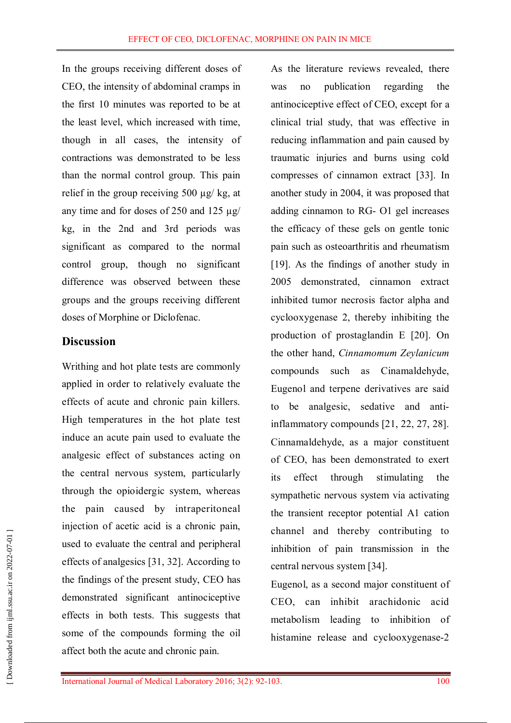In the groups receiving different doses of CEO, the intensity of abdominal cramps in the first 10 minutes was reported to be at the least level, which increased with time, though in all cases, the intensity of contractions was demonstrated to be less than the normal control group. This pain relief in the group receiving 500 µg/ kg, at any time and for doses of 250 and 125 µg/ kg, in the 2nd and 3rd periods was significant as compared to the normal control group, though no significant difference was observed between these groups and the groups receiving different doses of Morphine or Diclofenac.

# **Discussion**

Writhing and hot plate tests are commonly applied in order to relatively evaluate the effects of acute and chronic pain killers. High temperatures in the hot plate test induce an acute pain used to evaluate the analgesic effect of substances acting on the central nervous system, particularly through the opioidergic system, whereas the pain caused by intraperitoneal injection of acetic acid is a chronic pain, used to evaluate the central and peripheral effects of analgesics [31, 32]. According to the findings of the present study, CEO has demonstrated significant antinociceptive effects in both tests. This suggests that some of the compounds forming the oil affect both the acute and chronic pain.

As the literature reviews revealed, there was no publication regarding the antinociceptive effect of CEO, except for a clinical trial study, that was effective in reducing inflammation and pain caused by traumatic injuries and burns using cold compresses of cinnamon extract [33]. In another study in 2004, it was proposed that adding cinnamon to RG- O1 gel increases the efficacy of these gels on gentle tonic pain such as osteoarthritis and rheumatism [19]. As the findings of another study in 2005 demonstrated, cinnamon extract inhibited tumor necrosis factor alpha and cyclooxygenase 2, thereby inhibiting the production of prostaglandin E [20]. On the other hand, *Cinnamomum Zeylanicum* compounds such as Cinamaldehyde, Eugenol and terpene derivatives are said to be analgesic, sedative and antiinflammatory compounds [21, 22, 27, 28]. Cinnamaldehyde, as a major constituent of CEO, has been demonstrated to exert its effect through stimulating the sympathetic nervous system via activating the transient receptor potential A1 cation channel and thereby contributing to inhibition of pain transmission in the central nervous system [34].

Eugenol, as a second major constituent of CEO, can inhibit arachidonic acid metabolism leading to inhibition of histamine release and cyclooxygenase-2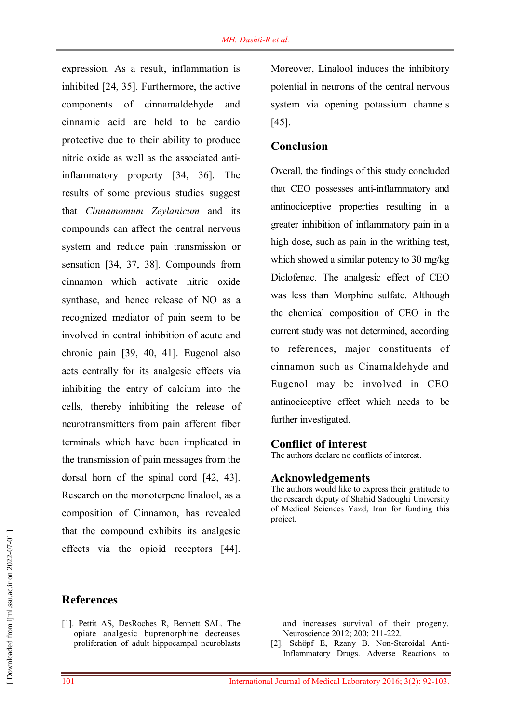expression. As a result, inflammation is inhibited [24, 35]. Furthermore, the active components of cinnamaldehyde and cinnamic acid are held to be cardio protective due to their ability to produce nitric oxide as well as the associated antiinflammatory property [34, 36]. The results of some previous studies suggest that *Cinnamomum Zeylanicum* and its compounds can affect the central nervous system and reduce pain transmission or sensation [34, 37, 38]. Compounds from cinnamon which activate nitric oxide synthase, and hence release of NO as a recognized mediator of pain seem to be involved in central inhibition of acute and chronic pain [39, 40, 41]. Eugenol also acts centrally for its analgesic effects via inhibiting the entry of calcium into the cells, thereby inhibiting the release of neurotransmitters from pain afferent fiber terminals which have been implicated in the transmission of pain messages from the dorsal horn of the spinal cord [42, 43]. Research on the monoterpene linalool, as a composition of Cinnamon, has revealed that the compound exhibits its analgesic effects via the opioid receptors [44].

Moreover, Linalool induces the inhibitory potential in neurons of the central nervous system via opening potassium channels [45].

## **Conclusion**

Overall, the findings of this study concluded that CEO possesses anti-inflammatory and antinociceptive properties resulting in a greater inhibition of inflammatory pain in a high dose, such as pain in the writhing test, which showed a similar potency to 30 mg/kg Diclofenac. The analgesic effect of CEO was less than Morphine sulfate. Although the chemical composition of CEO in the current study was not determined, according to references, major constituents of cinnamon such as Cinamaldehyde and Eugenol may be involved in CEO antinociceptive effect which needs to be further investigated.

#### **Conflict of interest**

The authors declare no conflicts of interest.

#### **Acknowledgements**

The authors would like to express their gratitude to the research deputy of Shahid Sadoughi University of Medical Sciences Yazd, Iran for funding this project.

## **References**

[1]. Pettit AS, DesRoches R, Bennett SAL. The opiate analgesic buprenorphine decreases proliferation of adult hippocampal neuroblasts

and increases survival of their progeny. Neuroscience 2012; 200: 211-222.

[2]. Schöpf E, Rzany B. Non-Steroidal Anti-Inflammatory Drugs. Adverse Reactions to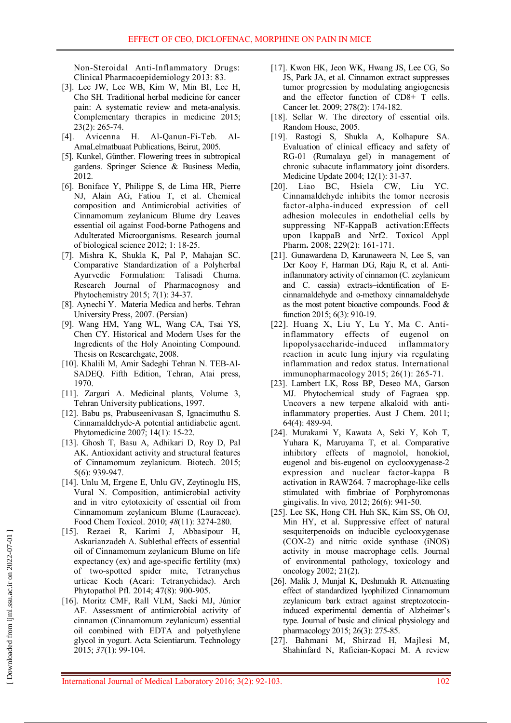Non-Steroidal Anti-Inflammatory Drugs: Clinical Pharmacoepidemiology 2013: 83.

- [3]. Lee JW, Lee WB, Kim W, Min BI, Lee H, Cho SH. Traditional herbal medicine for cancer pain: A systematic review and meta-analysis. Complementary therapies in medicine 2015; 23(2): 265-74.
- [4]. Avicenna H. Al-Qanun-Fi-Teb. Al-AmaLelmatbuaat Publications, Beirut, 2005.
- [5]. Kunkel, Günther. Flowering trees in subtropical gardens. Springer Science & Business Media, 2012.
- [6]. Boniface Y, Philippe S, de Lima HR, Pierre NJ, Alain AG, Fatiou T, et al. Chemical composition and Antimicrobial activities of Cinnamomum zeylanicum Blume dry Leaves essential oil against Food-borne Pathogens and Adulterated Microorganisms. Research journal of biological science 2012; 1: 18-25.
- [7]. Mishra K, Shukla K, Pal P, Mahajan SC. Comparative Standardization of a Polyherbal Ayurvedic Formulation: Talisadi Churna. Research Journal of Pharmacognosy and Phytochemistry 2015; *7*(1): 34-37.
- [8]. Aynechi Y. Materia Medica and herbs. Tehran University Press, 2007. (Persian)
- [9]. Wang HM, Yang WL, Wang CA, Tsai YS, Chen CY. Historical and Modern Uses for the Ingredients of the Holy Anointing Compound. Thesis on Researchgate, 2008.
- [10]. Khalili M, Amir Sadeghi Tehran N. TEB-Al-SADEQ. Fifth Edition, Tehran, Atai press, 1970.
- [11]. Zargari A. Medicinal plants, Volume 3, Tehran University publications, 1997.
- [12]. Babu ps, Prabuseenivasan S, Ignacimuthu S. Cinnamaldehyde-A potential antidiabetic agent. Phytomedicine 2007; 14(1): 15-22.
- [13]. Ghosh T, Basu A, Adhikari D, Roy D, Pal AK. Antioxidant activity and structural features of Cinnamomum zeylanicum. Biotech. 2015; 5(6): 939-947.
- [14]. Unlu M, Ergene E, Unlu GV, Zeytinoglu HS, Vural N. Composition, antimicrobial activity and in vitro cytotoxicity of essential oil from Cinnamomum zeylanicum Blume (Lauraceae). Food Chem Toxicol. 2010; *48*(11): 3274-280.
- [15]. Rezaei R, Karimi J, Abbasipour H, Askarianzadeh A. Sublethal effects of essential oil of Cinnamomum zeylanicum Blume on life expectancy (ex) and age-specific fertility (mx) of two-spotted spider mite, Tetranychus urticae Koch (Acari: Tetranychidae). Arch Phytopathol Pfl. 2014; 47(8): 900-905.
- [16]. Moritz CMF, Rall VLM, Saeki MJ, Júnior AF. Assessment of antimicrobial activity of cinnamon (Cinnamomum zeylanicum) essential oil combined with EDTA and polyethylene glycol in yogurt. Acta Scientiarum. Technology 2015; *37*(1): 99-104.
- [17]. Kwon HK, Jeon WK, Hwang JS, Lee CG, So JS, Park JA, et al. Cinnamon extract suppresses tumor progression by modulating angiogenesis and the effector function of CD8+ T cells. Cancer let. 2009; 278(2): 174-182.
- [18]. Sellar W. The directory of essential oils. Random House, 2005.
- [19]. Rastogi S, Shukla A, Kolhapure SA. Evaluation of clinical efficacy and safety of RG-01 (Rumalaya gel) in management of chronic subacute inflammatory joint disorders.
- Medicine Update 2004; 12(1): 31-37.<br>[20]. Liao BC, Hsiela CW, 1 Liao BC, Hsiela CW, Liu YC. Cinnamaldehyde inhibits the tomor necrosis factor-alpha-induced expression of cell adhesion molecules in endothelial cells by suppressing NF-KappaB activation:Effects upon 1kappaB and Nrf2. Toxicol Appl Pharm**.** 2008; 229(2): 161-171.
- [21]. Gunawardena D, Karunaweera N, Lee S, van Der Kooy F, Harman DG, Raju R, et al. Antiinflammatory activity of cinnamon (C. zeylanicum and C. cassia) extracts–identification of Ecinnamaldehyde and o-methoxy cinnamaldehyde as the most potent bioactive compounds. Food & function 2015; 6(3): 910-19.
- [22]. Huang X, Liu Y, Lu Y, Ma C. Antiinflammatory effects of eugenol on lipopolysaccharide-induced inflammatory reaction in acute lung injury via regulating inflammation and redox status. International immunopharmacology 2015; 26(1): 265-71.
- [23]. Lambert LK, Ross BP, Deseo MA, Garson MJ. Phytochemical study of Fagraea spp. Uncovers a new terpene alkaloid with antiinflammatory properties. Aust J Chem. 2011; 64(4): 489-94.
- [24]. Murakami Y, Kawata A, Seki Y, Koh T, Yuhara K, Maruyama T, et al. Comparative inhibitory effects of magnolol, honokiol, eugenol and bis-eugenol on cyclooxygenase-2 expression and nuclear factor-kappa B activation in RAW264. 7 macrophage-like cells stimulated with fimbriae of Porphyromonas gingivalis. In vivo*,* 2012; 26(6): 941-50.
- [25]. Lee SK, Hong CH, Huh SK, Kim SS, Oh OJ, Min HY, et al. Suppressive effect of natural sesquiterpenoids on inducible cyclooxygenase (COX-2) and nitric oxide synthase (iNOS) activity in mouse macrophage cells. Journal of environmental pathology, toxicology and oncology 2002; 21(2).
- [26]. Malik J, Munjal K, Deshmukh R. Attenuating effect of standardized lyophilized Cinnamomum zeylanicum bark extract against streptozotocininduced experimental dementia of Alzheimer's type. Journal of basic and clinical physiology and pharmacology 2015; 26(3): 275-85.
- [27]. Bahmani M, Shirzad H, Majlesi M, Shahinfard N, Rafieian-Kopaei M. A review